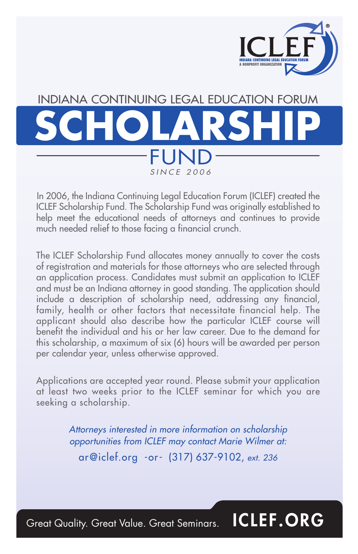

## **SCHOLARSHIP** *SINCE 2006* INDIANA CONTINUING LEGAL EDUCATION FORUM FUND

In 2006, the Indiana Continuing Legal Education Forum (ICLEF) created the ICLEF Scholarship Fund. The Scholarship Fund was originally established to help meet the educational needs of attorneys and continues to provide much needed relief to those facing a financial crunch.

The ICLEF Scholarship Fund allocates money annually to cover the costs of registration and materials for those attorneys who are selected through an application process. Candidates must submit an application to ICLEF and must be an Indiana attorney in good standing. The application should include a description of scholarship need, addressing any financial, family, health or other factors that necessitate financial help. The applicant should also describe how the particular ICLEF course will benefit the individual and his or her law career. Due to the demand for this scholarship, a maximum of six (6) hours will be awarded per person per calendar year, unless otherwise approved.

Applications are accepted year round. Please submit your application at least two weeks prior to the ICLEF seminar for which you are seeking a scholarship.

> *Attorneys interested in more information on scholarship opportunities from ICLEF may contact Marie Wilmer at:* ar@iclef.org -or- (317) 637-9102, *ext. 236*

Great Quality. Great Value. Great Seminars. ICLEF.ORG